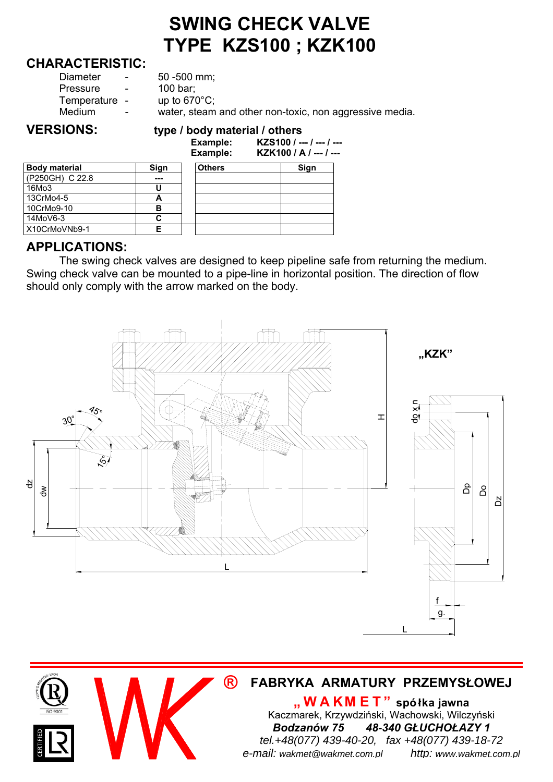# **SWING CHECK VALVE TYPE KZS100 ; KZK100**

#### **CHARACTERISTIC:**

| Diameter      | $\sim$ | $50 - 500$ mm;                                          |
|---------------|--------|---------------------------------------------------------|
| Pressure      | $\sim$ | 100 bar;                                                |
| Temperature - |        | up to $670^{\circ}$ C;                                  |
| Medium        | $\sim$ | water, steam and other non-toxic, non aggressive media. |
|               |        |                                                         |

#### **VERSIONS: type / body material / others**

|                      |      | Example:<br>Example: | KZS100 / --- / --- / ---<br>KZK100 / A / --- / --- |  |  |  |  |
|----------------------|------|----------------------|----------------------------------------------------|--|--|--|--|
| <b>Body material</b> | Sign | <b>Others</b>        | Sign                                               |  |  |  |  |
| (P250GH) C 22.8      | ---  |                      |                                                    |  |  |  |  |
| 16Mo3                |      |                      |                                                    |  |  |  |  |
| 13CrMo4-5            |      |                      |                                                    |  |  |  |  |
| 10CrMo9-10           | в    |                      |                                                    |  |  |  |  |
| 14MoV6-3             | C    |                      |                                                    |  |  |  |  |
| X10CrMoVNb9-1        | F    |                      |                                                    |  |  |  |  |

#### **APPLICATIONS:**

The swing check valves are designed to keep pipeline safe from returning the medium. Swing check valve can be mounted to a pipe-line in horizontal position. The direction of flow should only comply with the arrow marked on the body.



# **® FABRYKA ARMATURY PRZEMYSŁOWEJ**

**"WAKM ET" spółka jawna** Kaczmarek, Krzywdziński, Wachowski, Wilczyński *Bodzanów 75 48-340 GŁUCHOŁAZY 1 tel.+48(077) 439-40-20, fax +48(077) 439-18-72 e-mail: wakmet@wakmet.com.pl http: www.wakmet.com.pl*